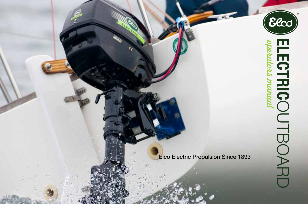

Elco Electric Propulsion Since 1893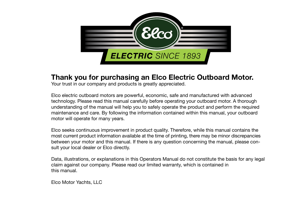

## **Thank you for purchasing an Elco Electric Outboard Motor.**

Your trust in our company and products is greatly appreciated.

Elco electric outboard motors are powerful, economic, safe and manufactured with advanced technology. Please read this manual carefully before operating your outboard motor. A thorough understanding of the manual will help you to safely operate the product and perform the required maintenance and care. By following the information contained within this manual, your outboard motor will operate for many years.

Elco seeks continuous improvement in product quality. Therefore, while this manual contains the most current product information available at the time of printing, there may be minor discrepancies between your motor and this manual. If there is any question concerning the manual, please consult your local dealer or Elco directly.

Data, illustrations, or explanations in this Operators Manual do not constitute the basis for any legal claim against our company. Please read our limited warranty, which is contained in this manual.

Elco Motor Yachts, LLC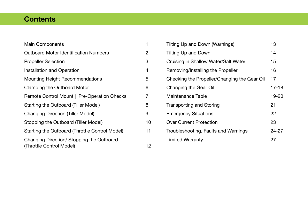# **Contents**

| <b>Main Components</b>                         |    |
|------------------------------------------------|----|
| <b>Outboard Motor Identification Numbers</b>   | 2  |
| <b>Propeller Selection</b>                     | 3  |
| Installation and Operation                     | 4  |
| Mounting Height Recommendations                | 5  |
| Clamping the Outboard Motor                    | 6  |
| Remote Control Mount   Pre-Operation Checks    | 7  |
| Starting the Outboard (Tiller Model)           | 8  |
| <b>Changing Direction (Tiller Model)</b>       | 9  |
| Stopping the Outboard (Tiller Model)           | 10 |
| Starting the Outboard (Throttle Control Model) | 11 |
| Changing Direction/ Stopping the Outboard      |    |
| (Throttle Control Model)                       | 12 |

| Tilting Up and Down (Warnings)               | 13    |
|----------------------------------------------|-------|
| Tilting Up and Down                          | 14    |
| Cruising in Shallow Water/Salt Water         | 15    |
| Removing/Installing the Propeller            | 16    |
| Checking the Propeller/Changing the Gear Oil | 17    |
| Changing the Gear Oil                        | 17-18 |
| Maintenance Table                            | 19-20 |
| <b>Transporting and Storing</b>              | 21    |
| <b>Emergency Situations</b>                  | 22    |
| <b>Over Current Protection</b>               | 23    |
| Troubleshooting, Faults and Warnings         | 24-27 |
| <b>Limited Warranty</b>                      | 27    |
|                                              |       |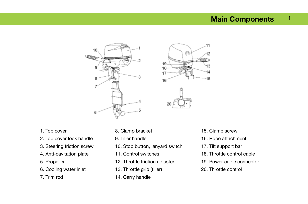#### **Main Components** 1



- 1. Top cover
- 2. Top cover lock handle
- 3. Steering friction screw
- 4. Anti-cavitation plate
- 5. Propeller
- 6. Cooling water inlet
- 7. Trim rod
- 8. Clamp bracket
- 9. Tiller handle
- 10. Stop button, lanyard switch
- 11. Control switches
- 12. Throttle friction adjuster
- 13. Throttle grip (tiller)
- 14. Carry handle

15. Clamp screw

 $.11$ 

 $12$ 

14  $15$ 

佰

- 16. Rope attachment
- 17. Tilt support bar
- 18. Throttle control cable
- 19. Power cable connector
- 20. Throttle control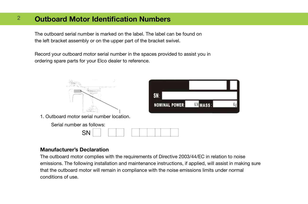#### **Outboard Motor Identification Numbers** 2

The outboard serial number is marked on the label. The label can be found on the left bracket assembly or on the upper part of the bracket swivel.

Record your outboard motor serial number in the spaces provided to assist you in ordering spare parts for your Elco dealer to reference.



#### **Manufacturer's Declaration**

The outboard motor complies with the requirements of Directive 2003/44/EC in relation to noise emissions. The following installation and maintenance instructions, if applied, will assist in making sure that the outboard motor will remain in compliance with the noise emissions limits under normal conditions of use.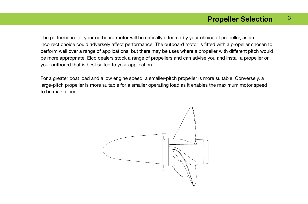#### **Propeller Selection** 3

The performance of your outboard motor will be critically affected by your choice of propeller, as an incorrect choice could adversely affect performance. The outboard motor is fitted with a propeller chosen to perform well over a range of applications, but there may be uses where a propeller with different pitch would be more appropriate. Elco dealers stock a range of propellers and can advise you and install a propeller on your outboard that is best suited to your application.

For a greater boat load and a low engine speed, a smaller-pitch propeller is more suitable. Conversely, a large-pitch propeller is more suitable for a smaller operating load as it enables the maximum motor speed to be maintained.

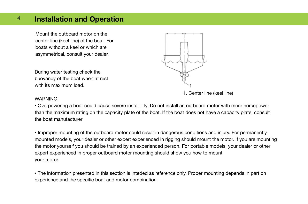#### **Installation and Operation**  4

Mount the outboard motor on the center line (keel line) of the boat. For boats without a keel or which are asymmetrical, consult your dealer.

During water testing check the buoyancy of the boat when at rest with its maximum load.



1. Center line (keel line)

#### WARNING:

• Overpowering a boat could cause severe instability. Do not install an outboard motor with more horsepower than the maximum rating on the capacity plate of the boat. If the boat does not have a capacity plate, consult the boat manufacturer

• Improper mounting of the outboard motor could result in dangerous conditions and injury. For permanently mounted models, your dealer or other expert experienced in rigging should mount the motor. If you are mounting the motor yourself you should be trained by an experienced person. For portable models, your dealer or other expert experienced in proper outboard motor mounting should show you how to mount your motor.

• The information presented in this section is inteded as reference only. Proper mounting depends in part on experience and the specific boat and motor combination.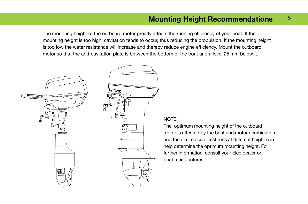# **Mounting Height Recommendations**  $5$

The mounting height of the outboard motor greatly affects the running efficiency of your boat. If the mounting height is too high, cavitation tends to occur, thus reducing the propulsion. If the mounting height is too low the water resistance will increase and thereby reduce engine efficiency. Mount the outboard motor so that the anti-cavitation plate is between the bottom of the boat and a level 25 mm below it.



### NOTE:

The optimum mounting height of the outboard motor is affected by the boat and motor combination and the desired use. Test runs at different height can help determine the optimum mounting height. For further information, consult your Elco dealer or boat manufacturer.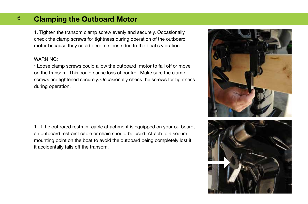#### **Clamping the Outboard Motor** 6

1. Tighten the transom clamp screw evenly and securely. Occasionally check the clamp screws for tightness during operation of the outboard motor because they could become loose due to the boat's vibration.

#### WARNING:

• Loose clamp screws could allow the outboard motor to fall off or move on the transom. This could cause loss of control. Make sure the clamp screws are tightened securely. Occasionally check the screws for tightness during operation.

1. If the outboard restraint cable attachment is equipped on your outboard, an outboard restraint cable or chain should be used. Attach to a secure mounting point on the boat to avoid the outboard being completely lost if it accidentally falls off the transom.

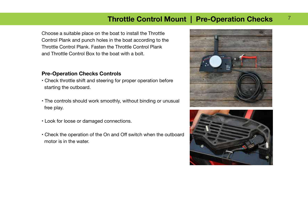# **Throttle Control Mount | Pre-Operation Checks**

Choose a suitable place on the boat to install the Throttle Control Plank and punch holes in the boat according to the Throttle Control Plank. Fasten the Throttle Control Plank and Throttle Control Box to the boat with a bolt.

#### **Pre-Operation Checks Controls**

- Check throttle shift and steering for proper operation before starting the outboard.
- The controls should work smoothly, without binding or unusual free play.
- Look for loose or damaged connections.
- Check the operation of the On and Off switch when the outboard motor is in the water.



7

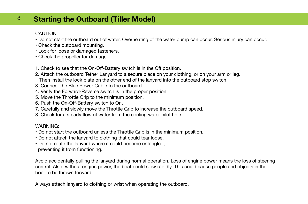#### **Starting the Outboard (Tiller Model)** 8

### **CAUTION**

- Do not start the outboard out of water. Overheating of the water pump can occur. Serious injury can occur.
- Check the outboard mounting.
- Look for loose or damaged fasteners.
- Check the propeller for damage.
- 1. Check to see that the On-Off-Battery switch is in the Off position.
- 2. Attach the outboard Tether Lanyard to a secure place on your clothing, or on your arm or leg.
	- Then install the lock plate on the other end of the lanyard into the outboard stop switch.
- 3. Connect the Blue Power Cable to the outboard.
- 4. Verify the Forward-Reverse switch is in the proper position.
- 5. Move the Throttle Grip to the minimum position.
- 6. Push the On-Off-Battery switch to On.
- 7. Carefully and slowly move the Throttle Grip to increase the outboard speed.
- 8. Check for a steady flow of water from the cooling water pilot hole.

### WARNING:

- Do not start the outboard unless the Throttle Grip is in the minimum position.
- Do not attach the lanyard to clothing that could tear loose.
- Do not route the lanyard where it could become entangled, preventing it from functioning.

Avoid accidentally pulling the lanyard during normal operation. Loss of engine power means the loss of steering control. Also, without engine power, the boat could slow rapidly. This could cause people and objects in the boat to be thrown forward.

Always attach lanyard to clothing or wrist when operating the outboard.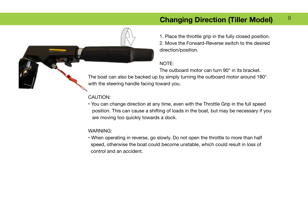# **Changing Direction (Tiller Model)**

9

1. Place the throttle grip in the fully closed position.

2. Move the Forward-Reverse switch to the desired direction/position.

### NOTE:

The outboard motor can turn 90° in its bracket.

The boat can also be backed up by simply turning the outboard motor around 180° with the steering handle facing toward you.

### CAUTION:

• You can change direction at any time, even with the Throttle Grip in the full speed position. This can cause a shifting of loads in the boat, but may be necessary if you are moving too quickly towards a dock.

#### WARNING:

• When operating in reverse, go slowly. Do not open the throttle to more than half speed, otherwise the boat could become unstable, which could result in loss of control and an accident.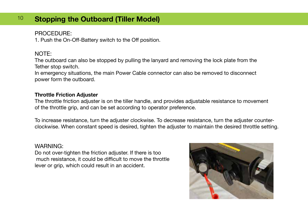# <sup>10</sup> Stopping the Outboard (Tiller Model)

## PROCEDURE:

1. Push the On-Off-Battery switch to the Off position.

## NOTE:

The outboard can also be stopped by pulling the lanyard and removing the lock plate from the Tether stop switch.

In emergency situations, the main Power Cable connector can also be removed to disconnect power form the outboard.

### **Throttle Friction Adjuster**

The throttle friction adjuster is on the tiller handle, and provides adjustable resistance to movement of the throttle grip, and can be set according to operator preference.

To increase resistance, turn the adjuster clockwise. To decrease resistance, turn the adjuster counterclockwise. When constant speed is desired, tighten the adjuster to maintain the desired throttle setting.

## WARNING:

Do not over-tighten the friction adjuster. If there is too much resistance, it could be difficult to move the throttle lever or grip, which could result in an accident.

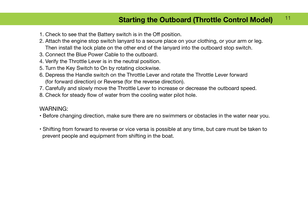#### **Starting the Outboard (Throttle Control Model)** 11

- 1. Check to see that the Battery switch is in the Off position.
- 2. Attach the engine stop switch lanyard to a secure place on your clothing, or your arm or leg. Then install the lock plate on the other end of the lanyard into the outboard stop switch.
- 3. Connect the Blue Power Cable to the outboard.
- 4. Verify the Throttle Lever is in the neutral position.
- 5. Turn the Key Switch to On by rotating clockwise.
- 6. Depress the Handle switch on the Throttle Lever and rotate the Throttle Lever forward (for forward direction) or Reverse (for the reverse direction).
- 7. Carefully and slowly move the Throttle Lever to increase or decrease the outboard speed.
- 8. Check for steady flow of water from the cooling water pilot hole.

## WARNING:

- Before changing direction, make sure there are no swimmers or obstacles in the water near you.
- Shifting from forward to reverse or vice versa is possible at any time, but care must be taken to prevent people and equipment from shifting in the boat.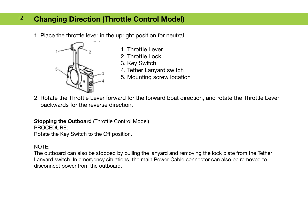# <sup>12</sup> Changing Direction (Throttle Control Model)

1. Place the throttle lever in the upright position for neutral.



- 1. Throttle Lever
- 2. Throttle Lock
- 3. Key Switch
- 4. Tether Lanyard switch
- 5. Mounting screw location
- 2. Rotate the Throttle Lever forward for the forward boat direction, and rotate the Throttle Lever backwards for the reverse direction.

**Stopping the Outboard (Throttle Control Model)** PROCEDURE: Rotate the Key Switch to the Off position.

## NOTE:

The outboard can also be stopped by pulling the lanyard and removing the lock plate from the Tether Lanyard switch. In emergency situations, the main Power Cable connector can also be removed to disconnect power from the outboard.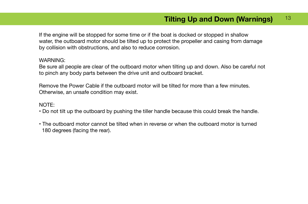If the engine will be stopped for some time or if the boat is docked or stopped in shallow water, the outboard motor should be tilted up to protect the propeller and casing from damage by collision with obstructions, and also to reduce corrosion.

#### WARNING:

Be sure all people are clear of the outboard motor when tilting up and down. Also be careful not to pinch any body parts between the drive unit and outboard bracket.

Remove the Power Cable if the outboard motor will be tilted for more than a few minutes. Otherwise, an unsafe condition may exist.

### NOTE:

- Do not tilt up the outboard by pushing the tiller handle because this could break the handle.
- The outboard motor cannot be tilted when in reverse or when the outboard motor is turned 180 degrees (facing the rear).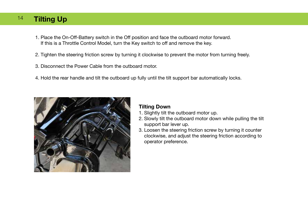#### **Tilting Up** 14

- 1. Place the On-Off-Battery switch in the Off position and face the outboard motor forward. If this is a Throttle Control Model, turn the Key switch to off and remove the key.
- 2. Tighten the steering friction screw by turning it clockwise to prevent the motor from turning freely.
- 3. Disconnect the Power Cable from the outboard motor.
- 4. Hold the rear handle and tilt the outboard up fully until the tilt support bar automatically locks.



### **Tilting Down**

- 1. Slightly tilt the outboard motor up.
- 2. Slowly tilt the outboard motor down while pulling the tilt support bar lever up.
- 3. Loosen the steering friction screw by turning it counter clockwise, and adjust the steering friction according to operator preference.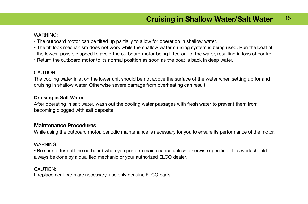#### WARNING:

- The outboard motor can be tilted up partially to allow for operation in shallow water.
- The tilt lock mechanism does not work while the shallow water cruising system is being used. Run the boat at the lowest possible speed to avoid the outboard motor being lifted out of the water, resulting in loss of control.
- Return the outboard motor to its normal position as soon as the boat is back in deep water.

#### CAUTION:

The cooling water inlet on the lower unit should be not above the surface of the water when setting up for and cruising in shallow water. Otherwise severe damage from overheating can result.

#### **Cruising in Salt Water**

After operating in salt water, wash out the cooling water passages with fresh water to prevent them from becoming clogged with salt deposits.

#### **Maintenance Procedures**

While using the outboard motor, periodic maintenance is necessary for you to ensure its performance of the motor.

#### WARNING:

• Be sure to turn off the outboard when you perform maintenance unless otherwise specified. This work should always be done by a qualified mechanic or your authorized ELCO dealer.

#### CAUTION:

If replacement parts are necessary, use only genuine ELCO parts.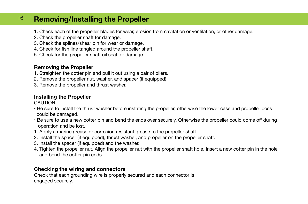#### **Removing/Installing the Propeller**  16

- 1. Check each of the propeller blades for wear, erosion from cavitation or ventilation, or other damage.
- 2. Check the propeller shaft for damage.
- 3. Check the splines/shear pin for wear or damage.
- 4. Check for fish line tangled around the propeller shaft.
- 5. Check for the propeller shaft oil seal for damage.

### **Removing the Propeller**

- 1. Straighten the cotter pin and pull it out using a pair of pliers.
- 2. Remove the propeller nut, washer, and spacer (if equipped).
- 3. Remove the propeller and thrust washer.

## **Installing the Propeller**

CAUTION:

- Be sure to install the thrust washer before instating the propeller, otherwise the lower case and propeller boss could be damaged.
- Be sure to use a new cotter pin and bend the ends over securely. Otherwise the propeller could come off during operation and be lost.
- 1. Apply a marine grease or corrosion resistant grease to the propeller shaft.
- 2. Install the spacer (if equipped), thrust washer, and propeller on the propeller shaft.
- 3. Install the spacer (if equipped) and the washer.
- 4. Tighten the propeller nut. Align the propeller nut with the propeller shaft hole. Insert a new cotter pin in the hole and bend the cotter pin ends.

### **Checking the wiring and connectors**

Check that each grounding wire is properly secured and each connector is engaged securely.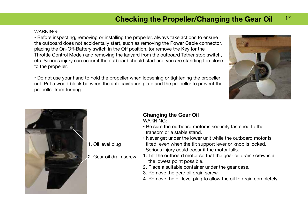# **Checking the Propeller/Changing the Gear Oil** 17

#### WARNING:

• Before inspecting, removing or installing the propeller, always take actions to ensure the outboard does not accidentally start, such as removing the Power Cable connector, placing the On-Off-Battery switch in the Off position, (or remove the Key for the Throttle Control Model) and removing the lanyard from the outboard Tether stop switch, etc. Serious injury can occur if the outboard should start and you are standing too close to the propeller.

• Do not use your hand to hold the propeller when loosening or tightening the propeller nut. Put a wood block between the anti-cavitation plate and the propeller to prevent the propeller from turning.





#### **Changing the Gear Oil** WARNING:

- Be sure the outboard motor is securely fastened to the transom or a stable stand.
- Never get under the lower unit while the outboard motor is tilted, even when the tilt support lever or knob is locked. Serious injury could occur if the motor falls.
- 1. Tilt the outboard motor so that the gear oil drain screw is at the lowest point possible.
- 2. Place a suitable container under the gear case.
- 3. Remove the gear oil drain screw.
- 4. Remove the oil level plug to allow the oil to drain completely.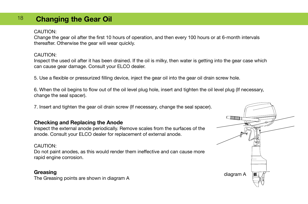#### **Changing the Gear Oil** 18

#### CAUTION:

Change the gear oil after the first 10 hours of operation, and then every 100 hours or at 6-month intervals thereafter. Otherwise the gear will wear quickly.

#### CAUTION:

Inspect the used oil after it has been drained. If the oil is milky, then water is getting into the gear case which can cause gear damage. Consult your ELCO dealer.

5. Use a flexible or pressurized filling device, inject the gear oil into the gear oil drain screw hole.

6. When the oil begins to flow out of the oil level plug hole, insert and tighten the oil level plug (If necessary, change the seal spacer).

7. Insert and tighten the gear oil drain screw (If necessary, change the seal spacer).

### **Checking and Replacing the Anode**

Inspect the external anode periodically. Remove scales from the surfaces of the anode. Consult your ELCO dealer for replacement of external anode.

#### CAUTION:

Do not paint anodes, as this would render them ineffective and can cause more rapid engine corrosion.

### **Greasing**

The Greasing points are shown in diagram A

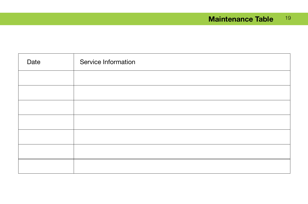# **Maintenance Table** 19

| Date | Service Information |
|------|---------------------|
|      |                     |
|      |                     |
|      |                     |
|      |                     |
|      |                     |
|      |                     |
|      |                     |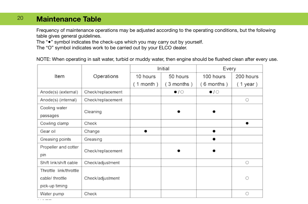#### **Maintenance Table** 20

Frequency of maintenance operations may be adjusted according to the operating conditions, but the following table gives general guidelines.

The "●" symbol indicates the check-ups which you may carry out by yourself.

The "O" symbol indicates work to be carried out by your ELCO dealer.

NOTE: When operating in salt water, turbid or muddy water, then engine should be flushed clean after every use.

|                        |                   | Initial     |              | Every               |            |
|------------------------|-------------------|-------------|--------------|---------------------|------------|
| Item                   | Operations        | 10 hours    | 50 hours     | 100 hours           | 200 hours  |
|                        |                   | $(1$ month) | 3 months)    | (6 months)          | $(1$ year) |
| Anode(s) (external)    | Check/replacement |             | $\bullet$ /0 | $\bullet$ / $\circ$ |            |
| Anode(s) (internal)    | Check/replacement |             |              |                     | 0          |
| Cooling water          |                   |             |              |                     |            |
| passages               | Cleaning          |             |              |                     |            |
| Cowling clamp          | Check             |             |              |                     |            |
| Gear oil               | Change            |             |              | ٠                   |            |
| Greasing points        | Greasing          |             |              |                     |            |
| Propeller and cotter   |                   |             |              |                     |            |
| pin                    | Check/replacement |             |              |                     |            |
| Shift link/shift cable | Check/adjustment  |             |              |                     | Ö          |
| Throttle link/throttle |                   |             |              |                     |            |
| cable/ throttle        | Check/adjustment  |             |              |                     | $\circ$    |
| pick-up timing         |                   |             |              |                     |            |
| Water pump             | Check             |             |              |                     | O          |

 $\mathcal{L}^{\mathcal{A}}\left( \mathcal{A}^{\mathcal{A}}\right) =\mathcal{L}^{\mathcal{A}}\left( \mathcal{A}^{\mathcal{A}}\right) =\mathcal{L}^{\mathcal{A}}\left( \mathcal{A}^{\mathcal{A}}\right)$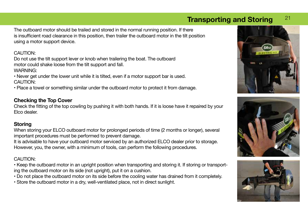# <sup>21</sup> **Transporting and Storing**

The outboard motor should be trailed and stored in the normal running position. If there is insufficient road clearance in this position, then trailer the outboard motor in the tilt position using a motor support device.

### CAUTION:

Do not use the tilt support lever or knob when trailering the boat. The outboard motor could shake loose from the tilt support and fall. WARNING:

• Never get under the lower unit while it is tilted, even if a motor support bar is used. CAUTION:

• Place a towel or something similar under the outboard motor to protect it from damage.

### **Checking the Top Cover**

Check the fitting of the top cowling by pushing it with both hands. If it is loose have it repaired by your Elco dealer.

### **Storing**

When storing your ELCO outboard motor for prolonged periods of time (2 months or longer), several important procedures must be performed to prevent damage.

It is advisable to have your outboard motor serviced by an authorized ELCO dealer prior to storage. However, you, the owner, with a minimum of tools, can perform the following procedures.

### CAUTION:

• Keep the outboard motor in an upright position when transporting and storing it. If storing or transporting the outboard motor on its side (not upright), put it on a cushion.

- Do not place the outboard motor on its side before the cooling water has drained from it completely.
- Store the outboard motor in a dry, well-ventilated place, not in direct sunlight.





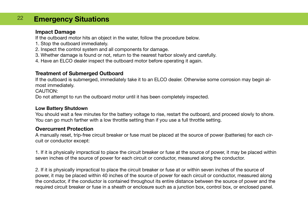## <sup>22</sup> **Emergency Situations**

#### **Impact Damage**

If the outboard motor hits an object in the water, follow the procedure below.

- 1. Stop the outboard immediately.
- 2. Inspect the control system and all components for damage.
- 3. Whether damage is found or not, return to the nearest harbor slowly and carefully.
- 4. Have an ELCO dealer inspect the outboard motor before operating it again.

## **Treatment of Submerged Outboard**

If the outboard is submerged, immediately take it to an ELCO dealer. Otherwise some corrosion may begin almost immediately.

CAUTION:

Do not attempt to run the outboard motor until it has been completely inspected.

#### **Low Battery Shutdown**

You should wait a few minutes for the battery voltage to rise, restart the outboard, and proceed slowly to shore. You can go much farther with a low throttle setting than if you use a full throttle setting.

### **Overcurrent Protection**

A manually reset, trip-free circuit breaker or fuse must be placed at the source of power (batteries) for each circuit or conductor except:

1. If it is physically impractical to place the circuit breaker or fuse at the source of power, it may be placed within seven inches of the source of power for each circuit or conductor, measured along the conductor.

2. If it is physically impractical to place the circuit breaker or fuse at or within seven inches of the source of power, it may be placed within 40 inches of the source of power for each circuit or conductor, measured along the conductor, if the conductor is contained throughout its entire distance between the source of power and the required circuit breaker or fuse in a sheath or enclosure such as a junction box, control box, or enclosed panel.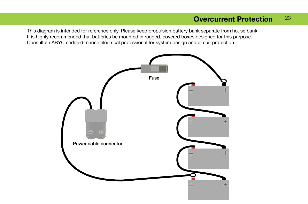# **Overcurrent Protection** 23

This diagram is intended for reference only. Please keep propulsion battery bank separate from house bank. It is highly recommended that batteries be mounted in rugged, covered boxes designed for this purpose. Consult an ABYC certified marine electrical professional for system design and circuit protection.

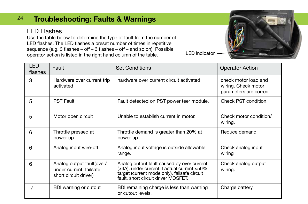# <sup>24</sup> **Troubleshooting: Faults & Warnings**

## LED Flashes

Use the table below to determine the type of fault from the number of LED flashes. The LED flashes a preset number of times in repetitive sequence (e.g. 3 flashes – off – 3 flashes – off – and so on). Possible operator action is listed in the right hand column of the table. LED indicator



| <b>LED</b><br>flashes | Fault                                                                          | <b>Set Conditions</b>                                                                                                                                                            | <b>Operator Action</b>                                                 |
|-----------------------|--------------------------------------------------------------------------------|----------------------------------------------------------------------------------------------------------------------------------------------------------------------------------|------------------------------------------------------------------------|
| 3                     | Hardware over current trip<br>activated                                        | hardware over current circuit activated                                                                                                                                          | check motor load and<br>wiring. Check motor<br>parameters are correct. |
| 5                     | <b>PST Fault</b>                                                               | Fault detected on PST power teer module.                                                                                                                                         | Check PST condition.                                                   |
| 5                     | Motor open circuit                                                             | Unable to establish current in motor.                                                                                                                                            | Check motor condition/<br>wiring.                                      |
| 6                     | Throttle pressed at<br>power up                                                | Throttle demand is greater than 20% at<br>power up.                                                                                                                              | Reduce demand                                                          |
| 6                     | Analog input wire-off                                                          | Analog input voltage is outside allowable<br>range.                                                                                                                              | Check analog input<br>wiring                                           |
| 6                     | Analog output fault(over/<br>under current, failsafe,<br>short circuit driver) | Analog output fault caused by over current<br>(>4A), under current if actual current <50%<br>target (current mode only), failsafe circuit<br>fault, short circuit driver MOSFET. | Check analog output<br>wiring.                                         |
| 7                     | BDI warning or cutout                                                          | BDI remaining charge is less than warning<br>or cutout levels.                                                                                                                   | Charge battery.                                                        |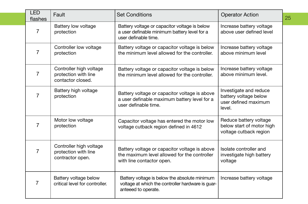| <b>LED</b><br>flashes | Fault                                                                | <b>Set Conditions</b>                                                                                                      | <b>Operator Action</b>                                                            | 25 |
|-----------------------|----------------------------------------------------------------------|----------------------------------------------------------------------------------------------------------------------------|-----------------------------------------------------------------------------------|----|
| 7                     | Battery low voltage<br>protection                                    | Battery voltage or capacitor voltage is below<br>a user definable minimum battery level for a<br>user definable time.      | Increase battery voltage<br>above user defined level                              |    |
| 7                     | Controller low voltage<br>protection                                 | Battery voltage or capacitor voltage is below<br>the minimum level allowed for the controller.                             | Increase battery voltage<br>above minimum level                                   |    |
| $\overline{7}$        | Controller high voltage<br>protection with line<br>contactor closed. | Battery voltage or capacitor voltage is below<br>the minimum level allowed for the controller.                             | Increase battery voltage<br>above minimum level.                                  |    |
| 7                     | Battery high voltage<br>protection                                   | Battery voltage or capacitor voltage is above<br>a user definable maximum battery level for a<br>user definable time.      | Investigate and reduce<br>battery voltage below<br>user defined maximum<br>level. |    |
| 7                     | Motor low voltage<br>protection                                      | Capacitor voltage has entered the motor low<br>voltage cutback region defined in 4612                                      | Reduce battery voltage<br>below start of motor high<br>voltage cutback region     |    |
| 7                     | Controller high voltage<br>protection with line<br>contractor open.  | Battery voltage or capacitor voltage is above<br>the maximum level allowed for the controller<br>with line contactor open. | Isolate controller and<br>investigate high battery<br>voltage                     |    |
| 7                     | Battery voltage below<br>critical level for controller.              | Battery voltage is below the absolute minimum<br>voltage at which the controller hardware is guar-<br>anteeed to operate.  | Increase battery voltage                                                          |    |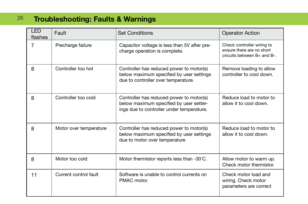# <sup>26</sup> **Troubleshooting: Faults & Warnings**

| <b>LED</b><br>flashes | Fault                  | <b>Set Conditions</b>                                                                                                            | <b>Operator Action</b>                                                                 |
|-----------------------|------------------------|----------------------------------------------------------------------------------------------------------------------------------|----------------------------------------------------------------------------------------|
| 7                     | Precharge failure      | Capacitor voltage is less than 5V after pre-<br>charge operation is complete.                                                    | Check controller wiring to<br>ensure there are no short<br>circuits between B+ and B-. |
| 8                     | Controller too hot     | Controller has reduced power to motor(s)<br>below maximum specified by user settings<br>due to controller over temperature.      | Remove loading to allow<br>controller to cool down.                                    |
| 8                     | Controller too cold    | Controller has reduced power to motor(s)<br>below maximum specified by user setter-<br>ings due to controller under temperature. | Reduce load to motor to<br>allow it to cool down.                                      |
| 8                     | Motor over temperature | Controller has reduced power to motor(s)<br>below maximum specified by user settings<br>due to motor over temperature            | Reduce load to motor to<br>allow it to cool down.                                      |
| 8                     | Motor too cold         | Motor thermistor reports less than -30°C.                                                                                        | Allow motor to warm up.<br>Check motor thermistor.                                     |
| 11                    | Current control fault  | Software is unable to control currents on<br>PMAC motor.                                                                         | Check motor load and<br>wiring. Check motor<br>parameters are correct                  |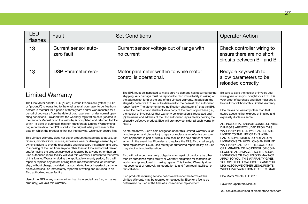| <b>LED</b><br>flashes | Fault                              | <b>Set Conditions</b>                                             | <b>Operator Action</b>                                                                 |
|-----------------------|------------------------------------|-------------------------------------------------------------------|----------------------------------------------------------------------------------------|
| 13                    | Current sensor auto-<br>zero fault | Current sensor voltage out of range with<br>no current            | Check controller wiring to<br>ensure there are no short<br>circuits between B+ and B-. |
| 13                    | <b>DSP Parameter error</b>         | Motor parameter written to while motor<br>control is operational. | Recycle keyswitch to<br>allow parameters to be<br>reloaded correctly.                  |

## Limited Warranty

The Elco Motor Yachts, LLC ("Elco") Electric Propulsion System ("EPS" or "product") is warranted to the original retail purchaser to be free from defects in material for a period of three years and/or workmanship for a period of two years from the date of purchase, each under normal operating conditions. Provided that the warranty registration card (located in the Owner's Manual or on the website) is completed and returned to Elco within 15 days of purchase, this non-transferable Limited Warranty shall begin on the date the EPS is sold to the original retail purchaser or the date on which the product is first put into service, whichever occurs first.

This Limited Warranty does not cover product damage due to abuse, accidents, modifications, misuse, excessive wear or damage caused by an owner's failure to provide reasonable and necessary installation and care. Purchasing of the unit from anyone other than an Elco authorized Dealer and/or having the product serviced or repaired by anyone other than an Elco authorized repair facility will void this warranty. Pursuant to the terms of this Limited Warranty, during the applicable warranty period, Elco will repair or replace any defect arising from imperfect material or workmanship, without charge, provided that such defective or imperfect part when discovered shall be immediately reported in writing and returned to an Elco authorized repair facility.

Use of the EPS in any manner other than its intended use (i.e., in marine craft only) will void this warranty.

The EPS must be inspected to make sure no damage has occurred during shipping. Any damage must be reported to Elco immediately in writing at the address set forth at the end of this Limited Warranty. In addition, the allegedly defective EPS must be delivered to the nearest Elco authorized repair facility. The aforementioned notification shall state, (1) that the EPS is an Elco product and shall include a copy of the proof of purchase (i.e., the receipt or invoice), (2) that warranty consideration is requested and (3) the name and address of the Elco authorized repair facility holding the allegedly defective product. Elco will promptly consider all such warranty claims.

As stated above, Elco's sole obligation under this Limited Warranty is (at its sole option and discretion) to repair or replace any defective component or product in part or whole. Elco shall be the sole arbiter of such action. In the event that Elco elects to replace the EPS, Elco shall supply such replacement F.O.B. Elco factory or authorized repair facility, as Elco may elect in its sole discretion.

Elco will not accept warranty obligations for repair of products by other than its authorized repair facility or warranty obligation for materials or workmanship employed in making repairs. This Limited Warranty does not cover cost of removal, transportation to and from repair facilities, or reinstallation.

Elco products requiring service not covered under the terms of this Limited Warranty may be repaired or replaced by Elco for a fee to be determined by Elco at the time of such repair or replacement.

Be sure to save the receipt or invoice you were given when you bought your EPS. It is your proof of purchase and Elco must see it before Elco will honor this Limited Warranty.

Elco makes no warranty other than that stated above, either express or implied and expressly disclaims same.

ALL INCIDENTAL AND/OR CONSEQUENTIAL DAMAGES ARE EXCLUDED FROM THIS WARRANTY. IMPLIED WARRANTIES ARE LIMITED TO THE LIFE OF THIS WAR-RANTY. SOME STATES DO NOT ALLOW LIMITATIONS ON HOW LONG AN IMPLIED WARRANTY LASTS OR THE EXCLUSION OR LIMITATION OF INCIDENTAL OR CON-SEQUENTIAL DAMAGES, SO THE ABOVE LIMITATIONS OR EXCLUSIONS MAY NOT APPLY TO YOU. THIS WARRANTY GIVES YOU SPECIFIC LEGAL RIGHTS, AND YOU MAY ALSO HAVE OTHER LEGAL RIGHTS WHICH MAY VARY FROM STATE TO STATE.

Elco Motor Yachts, LLC 2016

Save this Operators Manual